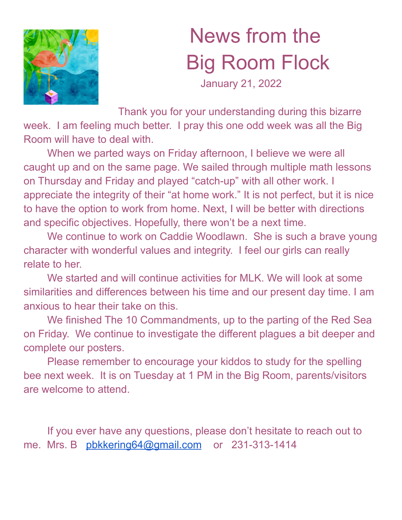

## News from the Big Room Flock

January 21, 2022

Thank you for your understanding during this bizarre week. I am feeling much better. I pray this one odd week was all the Big Room will have to deal with.

When we parted ways on Friday afternoon, I believe we were all caught up and on the same page. We sailed through multiple math lessons on Thursday and Friday and played "catch-up" with all other work. I appreciate the integrity of their "at home work." It is not perfect, but it is nice to have the option to work from home. Next, I will be better with directions and specific objectives. Hopefully, there won't be a next time.

We continue to work on Caddie Woodlawn. She is such a brave young character with wonderful values and integrity. I feel our girls can really relate to her.

We started and will continue activities for MLK. We will look at some similarities and differences between his time and our present day time. I am anxious to hear their take on this.

We finished The 10 Commandments, up to the parting of the Red Sea on Friday. We continue to investigate the different plagues a bit deeper and complete our posters.

Please remember to encourage your kiddos to study for the spelling bee next week. It is on Tuesday at 1 PM in the Big Room, parents/visitors are welcome to attend.

If you ever have any questions, please don't hesitate to reach out to me. Mrs. B [pbkkering64@gmail.com](mailto:pbkkering64@gmail.com) or 231-313-1414